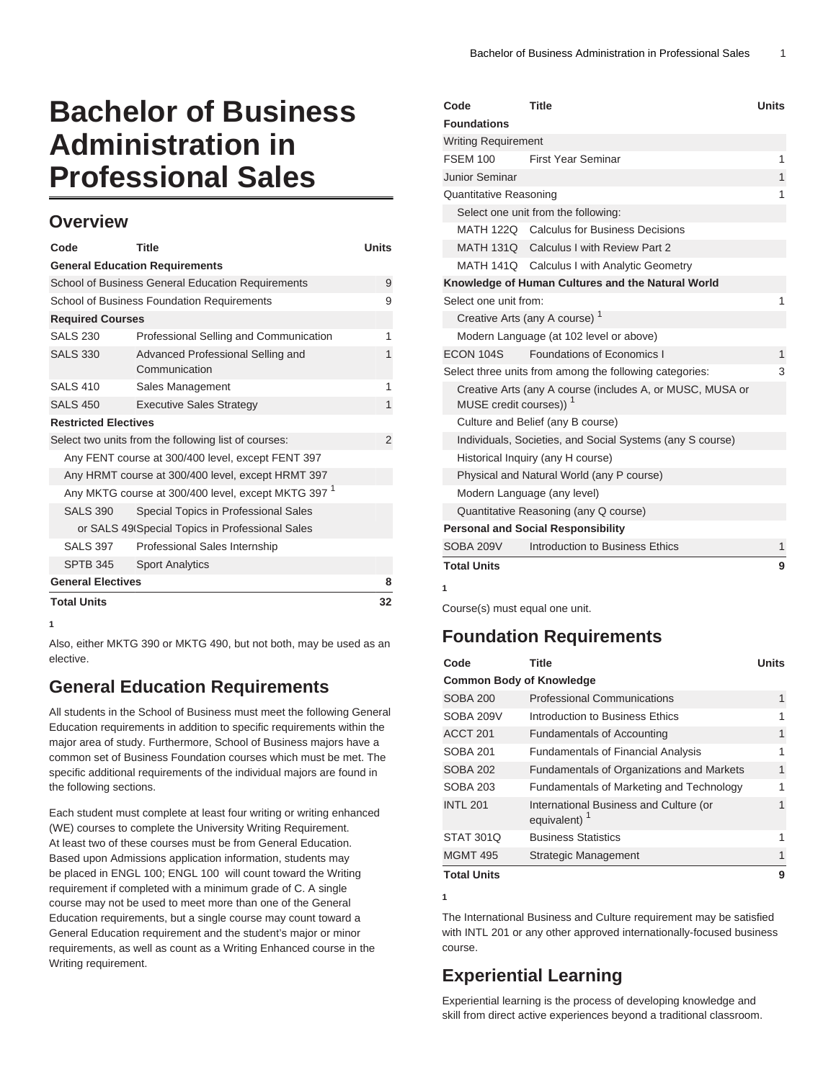# **Bachelor of Business Administration in Professional Sales**

#### **Overview**

| Code                                                           | <b>Title</b>                                         | <b>Units</b> |  |  |
|----------------------------------------------------------------|------------------------------------------------------|--------------|--|--|
| <b>General Education Requirements</b>                          |                                                      |              |  |  |
| School of Business General Education Requirements              |                                                      |              |  |  |
| School of Business Foundation Requirements                     |                                                      |              |  |  |
| <b>Required Courses</b>                                        |                                                      |              |  |  |
| <b>SALS 230</b>                                                | Professional Selling and Communication               | 1            |  |  |
| <b>SALS 330</b>                                                | Advanced Professional Selling and<br>Communication   | 1            |  |  |
| <b>SALS 410</b>                                                | Sales Management                                     | 1            |  |  |
| <b>SALS 450</b>                                                | <b>Executive Sales Strategy</b>                      | 1            |  |  |
| <b>Restricted Electives</b>                                    |                                                      |              |  |  |
|                                                                | Select two units from the following list of courses: | 2            |  |  |
| Any FENT course at 300/400 level, except FENT 397              |                                                      |              |  |  |
| Any HRMT course at 300/400 level, except HRMT 397              |                                                      |              |  |  |
| Any MKTG course at 300/400 level, except MKTG 397 <sup>1</sup> |                                                      |              |  |  |
| <b>SALS 390</b>                                                | Special Topics in Professional Sales                 |              |  |  |
| or SALS 49 Special Topics in Professional Sales                |                                                      |              |  |  |
| <b>SALS 397</b>                                                | Professional Sales Internship                        |              |  |  |
| <b>SPTB 345</b>                                                | <b>Sport Analytics</b>                               |              |  |  |
| <b>General Electives</b>                                       |                                                      | 8            |  |  |
| <b>Total Units</b>                                             |                                                      | 32           |  |  |

**1**

Also, either MKTG 390 or MKTG 490, but not both, may be used as an elective.

## **General Education Requirements**

All students in the School of Business must meet the following General Education requirements in addition to specific requirements within the major area of study. Furthermore, School of Business majors have a common set of Business Foundation courses which must be met. The specific additional requirements of the individual majors are found in the following sections.

Each student must complete at least four writing or writing enhanced (WE) courses to complete the University Writing Requirement. At least two of these courses must be from General Education. Based upon Admissions application information, students may be placed in ENGL 100; ENGL 100 will count toward the Writing requirement if completed with a minimum grade of C. A single course may not be used to meet more than one of the General Education requirements, but a single course may count toward a General Education requirement and the student's major or minor requirements, as well as count as a Writing Enhanced course in the Writing requirement.

| Code                                                                                            | <b>Title</b>                                              | <b>Units</b> |
|-------------------------------------------------------------------------------------------------|-----------------------------------------------------------|--------------|
| <b>Foundations</b>                                                                              |                                                           |              |
| <b>Writing Requirement</b>                                                                      |                                                           |              |
| <b>FSEM 100</b>                                                                                 | <b>First Year Seminar</b>                                 | 1            |
| Junior Seminar                                                                                  |                                                           | 1            |
| <b>Quantitative Reasoning</b>                                                                   |                                                           |              |
|                                                                                                 | Select one unit from the following:                       |              |
|                                                                                                 | MATH 122Q Calculus for Business Decisions                 |              |
|                                                                                                 | MATH 131Q Calculus I with Review Part 2                   |              |
|                                                                                                 | MATH 141Q Calculus I with Analytic Geometry               |              |
|                                                                                                 | Knowledge of Human Cultures and the Natural World         |              |
| Select one unit from:                                                                           |                                                           | 1            |
|                                                                                                 | Creative Arts (any A course) <sup>1</sup>                 |              |
|                                                                                                 | Modern Language (at 102 level or above)                   |              |
| ECON 104S                                                                                       | Foundations of Economics I                                | 1            |
|                                                                                                 | Select three units from among the following categories:   | 3            |
| Creative Arts (any A course (includes A, or MUSC, MUSA or<br>MUSE credit courses)) <sup>1</sup> |                                                           |              |
|                                                                                                 | Culture and Belief (any B course)                         |              |
|                                                                                                 | Individuals, Societies, and Social Systems (any S course) |              |
| Historical Inquiry (any H course)                                                               |                                                           |              |
|                                                                                                 | Physical and Natural World (any P course)                 |              |
|                                                                                                 | Modern Language (any level)                               |              |
|                                                                                                 | Quantitative Reasoning (any Q course)                     |              |
|                                                                                                 | <b>Personal and Social Responsibility</b>                 |              |
| SOBA 209V                                                                                       | Introduction to Business Ethics                           | 1            |
| <b>Total Units</b>                                                                              |                                                           | 9            |
| 1                                                                                               |                                                           |              |

Course(s) must equal one unit.

### **Foundation Requirements**

| Code                            | Title                                                 | <b>Units</b> |  |  |
|---------------------------------|-------------------------------------------------------|--------------|--|--|
| <b>Common Body of Knowledge</b> |                                                       |              |  |  |
| <b>SOBA 200</b>                 | <b>Professional Communications</b>                    | 1            |  |  |
| SOBA 209V                       | Introduction to Business Ethics                       | 1            |  |  |
| ACCT <sub>201</sub>             | <b>Fundamentals of Accounting</b>                     | 1            |  |  |
| <b>SOBA 201</b>                 | <b>Fundamentals of Financial Analysis</b>             | 1            |  |  |
| <b>SOBA 202</b>                 | <b>Fundamentals of Organizations and Markets</b>      | 1            |  |  |
| <b>SOBA 203</b>                 | Fundamentals of Marketing and Technology              | 1            |  |  |
| <b>INTL 201</b>                 | International Business and Culture (or<br>equivalent) | 1            |  |  |
| <b>STAT 301Q</b>                | <b>Business Statistics</b>                            | 1            |  |  |
| <b>MGMT 495</b>                 | Strategic Management                                  | 1            |  |  |
| <b>Total Units</b>              |                                                       | 9            |  |  |

**1**

The International Business and Culture requirement may be satisfied with INTL 201 or any other approved internationally-focused business course.

## **Experiential Learning**

Experiential learning is the process of developing knowledge and skill from direct active experiences beyond a traditional classroom.